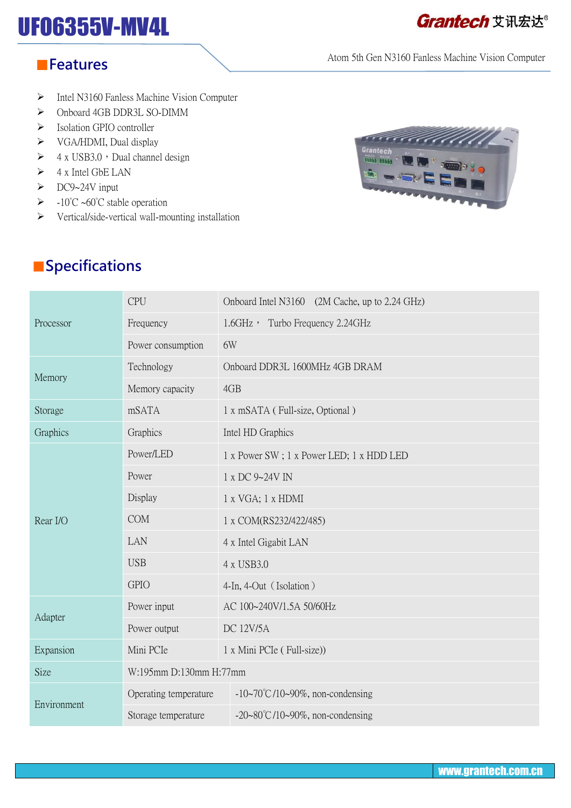# UFO6355V-MV4L

## **Grantech** 艾讯宏达®

#### Atom 5th Gen N3160 Fanless Machine Vision Computer

#### ■**Features**

- $\triangleright$  Intel N3160 Fanless Machine Vision Computer
- $\triangleright$  Onboard 4GB DDR3L SO-DIMM
- $\triangleright$  Isolation GPIO controller
- $\triangleright$  VGA/HDMI, Dual display
- $\triangleright$  4 x USB3.0, Dual channel design
- $\triangleright$  4 x Intel GbE LAN
- DC9~24V input
- $\triangleright$  -10°C ~60°C stable operation
- $\triangleright$  Vertical/side-vertical wall-mounting installation



## ■**Specifications**

| Processor   | <b>CPU</b>             | Onboard Intel N3160 (2M Cache, up to 2.24 GHz) |
|-------------|------------------------|------------------------------------------------|
|             | Frequency              | 1.6GHz, Turbo Frequency 2.24GHz                |
|             | Power consumption      | 6W                                             |
| Memory      | Technology             | Onboard DDR3L 1600MHz 4GB DRAM                 |
|             | Memory capacity        | 4GB                                            |
| Storage     | mSATA                  | 1 x mSATA (Full-size, Optional)                |
| Graphics    | Graphics               | Intel HD Graphics                              |
| Rear I/O    | Power/LED              | 1 x Power SW; 1 x Power LED; 1 x HDD LED       |
|             | Power                  | 1 x DC 9~24V IN                                |
|             | Display                | 1 x VGA; 1 x HDMI                              |
|             | <b>COM</b>             | 1 x COM(RS232/422/485)                         |
|             | LAN                    | 4 x Intel Gigabit LAN                          |
|             | <b>USB</b>             | 4 x USB3.0                                     |
|             | <b>GPIO</b>            | 4-In, 4-Out (Isolation)                        |
| Adapter     | Power input            | AC 100~240V/1.5A 50/60Hz                       |
|             | Power output           | <b>DC 12V/5A</b>                               |
| Expansion   | Mini PCIe              | 1 x Mini PCIe (Full-size))                     |
| Size        | W:195mm D:130mm H:77mm |                                                |
| Environment | Operating temperature  | $-10$ ~70°C/10~90%, non-condensing             |
|             | Storage temperature    | $-20~80^{\circ}$ C/10 $~90\%$ , non-condensing |